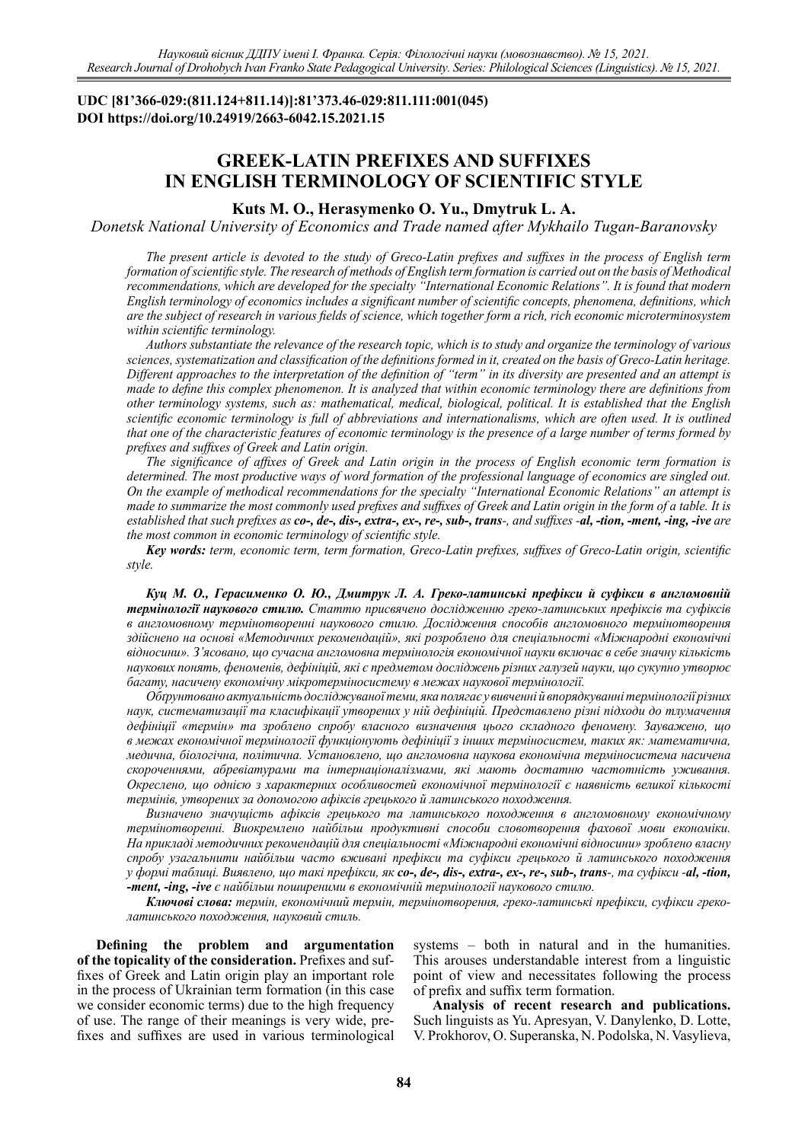# **UDC [81'366-029:(811.124+811.14)]:81'373.46-029:811.111:001(045) DOI https://doi.org/10.24919/2663-6042.15.2021.15**

# **GREEK-LATIN PREFIXES AND SUFFIXES IN ENGLISH TERMINOLOGY OF SCIENTIFIC STYLE**

## **Kuts M. O., Herasymenko O. Yu., Dmytruk L. A.**

*Donetsk National University of Economics and Trade named after Mykhailo Tugan-Baranovsky* 

*The present article is devoted to the study of Greco-Latin prefixes and suffixes in the process of English term formation of scientific style. The research of methods of English term formation is carried out on the basis of Methodical recommendations, which are developed for the specialty "International Economic Relations". It is found that modern English terminology of economics includes a significant number of scientific concepts, phenomena, definitions, which are the subject of research in various fields of science, which together form a rich, rich economic microterminosystem within scientific terminology.*

*Authors substantiate the relevance of the research topic, which is to study and organize the terminology of various sciences, systematization and classification of the definitions formed in it, created on the basis of Greco-Latin heritage. Different approaches to the interpretation of the definition of "term" in its diversity are presented and an attempt is made to define this complex phenomenon. It is analyzed that within economic terminology there are definitions from other terminology systems, such as: mathematical, medical, biological, political. It is established that the English scientific economic terminology is full of abbreviations and internationalisms, which are often used. It is outlined that one of the characteristic features of economic terminology is the presence of a large number of terms formed by prefixes and suffixes of Greek and Latin origin.*

*The significance of affixes of Greek and Latin origin in the process of English economic term formation is determined. The most productive ways of word formation of the professional language of economics are singled out. On the example of methodical recommendations for the specialty "International Economic Relations" an attempt is made to summarize the most commonly used prefixes and suffixes of Greek and Latin origin in the form of a table. It is*  established that such prefixes as co-, de-, dis-, extra-, ex-, re-, sub-, trans-, and suffixes -al, -tion, -ment, -ing, -ive are *the most common in economic terminology of scientific style.*

*Key words: term, economic term, term formation, Greco-Latin prefixes, suffixes of Greco-Latin origin, scientific style.*

*Куц М. О., Герасименко О. Ю., Дмитрук Л. А. Греко-латинські префікси й суфікси в англомовній термінології наукового стилю. Статтю присвячено дослідженню греко-латинських префіксів та суфіксів в англомовному термінотворенні наукового стилю. Дослідження способів англомовного термінотворення здійснено на основі «Методичних рекомендацій», які розроблено для спеціальності «Міжнародні економічні відносини». З'ясовано, що сучасна англомовна термінологія економічної науки включає в себе значну кількість наукових понять, феноменів, дефініцій, які є предметом досліджень різних галузей науки, що сукупно утворює багату, насичену економічну мікротерміносистему в межах наукової термінології.*

*Обґрунтовано актуальність досліджуваної теми, яка полягає у вивченні й впорядкуванні термінології різних наук, систематизації та класифікації утворених у ній дефініцій. Представлено різні підходи до тлумачення дефініції «термін» та зроблено спробу власного визначення цього складного феномену. Зауважено, що в межах економічної термінології функціонують дефініції з інших терміносистем, таких як: математична, медична, біологічна, політична. Установлено, що англомовна наукова економічна терміносистема насичена скороченнями, абревіатурами та інтернаціоналізмами, які мають достатню частотність уживання. Окреслено, що однією з характерних особливостей економічної термінології є наявність великої кількості термінів, утворених за допомогою афіксів грецького й латинського походження.* 

*Визначено значущість афіксів грецького та латинського походження в англомовному економічному термінотворенні. Виокремлено найбільш продуктивні способи словотворення фахової мови економіки. На прикладі методичних рекомендацій для спеціальності «Міжнародні економічні відносини» зроблено власну спробу узагальнити найбільш часто вживані префікси та суфікси грецького й латинського походження у формі таблиці. Виявлено, що такі префікси, як co-, de-, dis-, extra-, ex-, re-, sub-, trans-, та суфікси -al, -tion, -ment, -ing, -ive є найбільш поширеними в економічній термінології наукового стилю.* 

*Ключові слова: термін, економічний термін, термінотворення, греко-латинські префікси, суфікси греколатинського походження, науковий стиль.*

**Defining the problem and argumentation of the topicality of the consideration.** Prefixes and suffixes of Greek and Latin origin play an important role in the process of Ukrainian term formation (in this case we consider economic terms) due to the high frequency of use. The range of their meanings is very wide, prefixes and suffixes are used in various terminological

systems – both in natural and in the humanities. This arouses understandable interest from a linguistic point of view and necessitates following the process of prefix and suffix term formation.

**Analysis of recent research and publications.**  Such linguists as Yu. Apresyan, V. Danylenko, D. Lotte, V. Prokhorov, O. Superanska, N. Podolska, N. Vasylieva,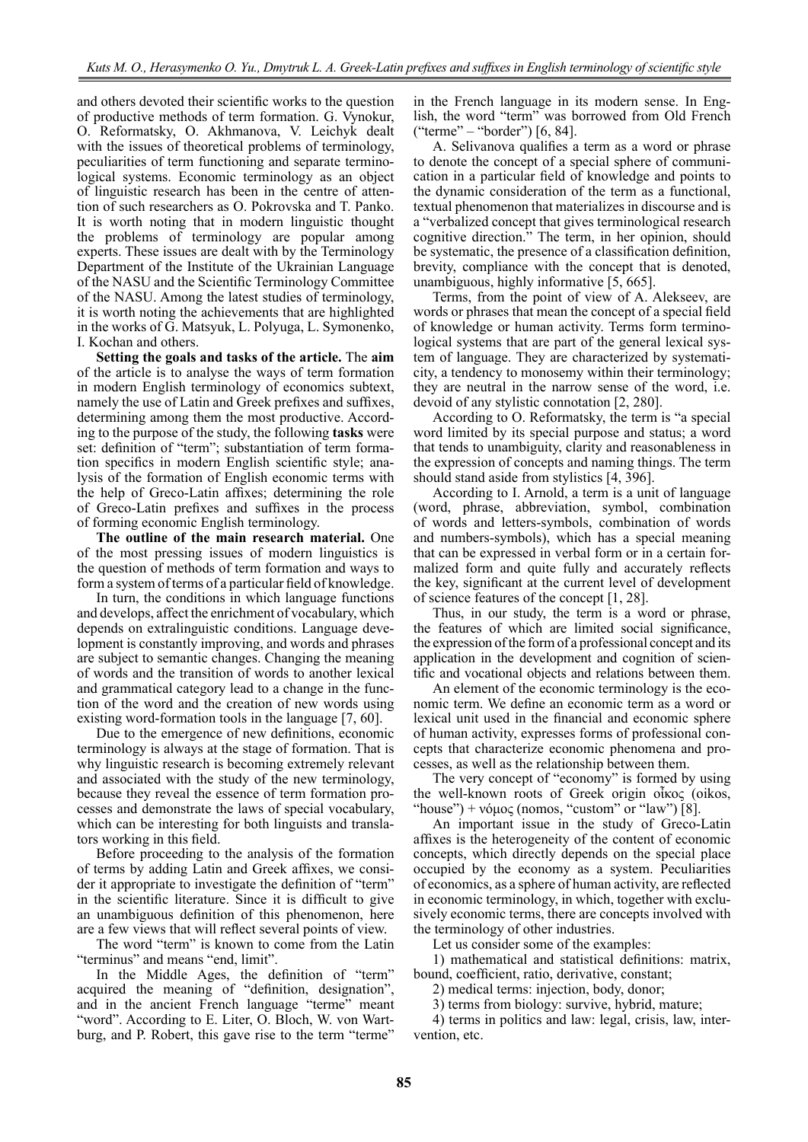and others devoted their scientific works to the question of productive methods of term formation. G. Vynokur, O. Reformatsky, O. Akhmanova, V. Leichyk dealt with the issues of theoretical problems of terminology, peculiarities of term functioning and separate terminological systems. Economic terminology as an object of linguistic research has been in the centre of attention of such researchers as O. Pokrovska and T. Panko. It is worth noting that in modern linguistic thought the problems of terminology are popular among experts. These issues are dealt with by the Terminology Department of the Institute of the Ukrainian Language of the NASU and the Scientific Terminology Committee of the NASU. Among the latest studies of terminology, it is worth noting the achievements that are highlighted in the works of G. Matsyuk, L. Polyuga, L. Symonenko, I. Kochan and others.

**Setting the goals and tasks of the article.** The **aim** of the article is to analyse the ways of term formation in modern English terminology of economics subtext, namely the use of Latin and Greek prefixes and suffixes, determining among them the most productive. According to the purpose of the study, the following **tasks** were set: definition of "term"; substantiation of term formation specifics in modern English scientific style; analysis of the formation of English economic terms with the help of Greco-Latin affixes; determining the role of Greco-Latin prefixes and suffixes in the process of forming economic English terminology.

**The outline of the main research material.** One of the most pressing issues of modern linguistics is the question of methods of term formation and ways to form a system of terms of a particular field of knowledge.

In turn, the conditions in which language functions and develops, affect the enrichment of vocabulary, which depends on extralinguistic conditions. Language development is constantly improving, and words and phrases are subject to semantic changes. Changing the meaning of words and the transition of words to another lexical and grammatical category lead to a change in the function of the word and the creation of new words using existing word-formation tools in the language [7, 60].

Due to the emergence of new definitions, economic terminology is always at the stage of formation. That is why linguistic research is becoming extremely relevant and associated with the study of the new terminology, because they reveal the essence of term formation processes and demonstrate the laws of special vocabulary, which can be interesting for both linguists and translators working in this field.

Before proceeding to the analysis of the formation of terms by adding Latin and Greek affixes, we consider it appropriate to investigate the definition of "term" in the scientific literature. Since it is difficult to give an unambiguous definition of this phenomenon, here are a few views that will reflect several points of view.

The word "term" is known to come from the Latin "terminus" and means "end, limit".

In the Middle Ages, the definition of "term" acquired the meaning of "definition, designation", and in the ancient French language "terme" meant "word". According to E. Liter, O. Bloch, W. von Wartburg, and P. Robert, this gave rise to the term "terme"

in the French language in its modern sense. In English, the word "term" was borrowed from Old French ("terme" – "border") [6, 84].

A. Selivanova qualifies a term as a word or phrase to denote the concept of a special sphere of communication in a particular field of knowledge and points to the dynamic consideration of the term as a functional, textual phenomenon that materializes in discourse and is a "verbalized concept that gives terminological research cognitive direction." The term, in her opinion, should be systematic, the presence of a classification definition, brevity, compliance with the concept that is denoted, unambiguous, highly informative [5, 665].

Terms, from the point of view of A. Alekseev, are words or phrases that mean the concept of a special field of knowledge or human activity. Terms form terminological systems that are part of the general lexical system of language. They are characterized by systematicity, a tendency to monosemy within their terminology; they are neutral in the narrow sense of the word, i.e. devoid of any stylistic connotation [2, 280].

According to O. Reformatsky, the term is "a special word limited by its special purpose and status; a word that tends to unambiguity, clarity and reasonableness in the expression of concepts and naming things. The term should stand aside from stylistics [4, 396].

According to I. Arnold, a term is a unit of language (word, phrase, abbreviation, symbol, combination of words and letters-symbols, combination of words and numbers-symbols), which has a special meaning that can be expressed in verbal form or in a certain formalized form and quite fully and accurately reflects the key, significant at the current level of development of science features of the concept [1, 28].

Thus, in our study, the term is a word or phrase, the features of which are limited social significance, the expression of the form of a professional concept and its application in the development and cognition of scientific and vocational objects and relations between them.

An element of the economic terminology is the economic term. We define an economic term as a word or lexical unit used in the financial and economic sphere of human activity, expresses forms of professional concepts that characterize economic phenomena and processes, as well as the relationship between them.

The very concept of "economy" is formed by using the well-known roots of Greek origin οἶκος (oikos, "house") + νόμος (nomos, "custom" or "law") [8].

An important issue in the study of Greco-Latin affixes is the heterogeneity of the content of economic concepts, which directly depends on the special place occupied by the economy as a system. Peculiarities of economics, as a sphere of human activity, are reflected in economic terminology, in which, together with exclusively economic terms, there are concepts involved with the terminology of other industries.

Let us consider some of the examples:

1) mathematical and statistical definitions: matrix, bound, coefficient, ratio, derivative, constant;

2) medical terms: injection, body, donor;

3) terms from biology: survive, hybrid, mature;

4) terms in politics and law: legal, crisis, law, intervention, etc.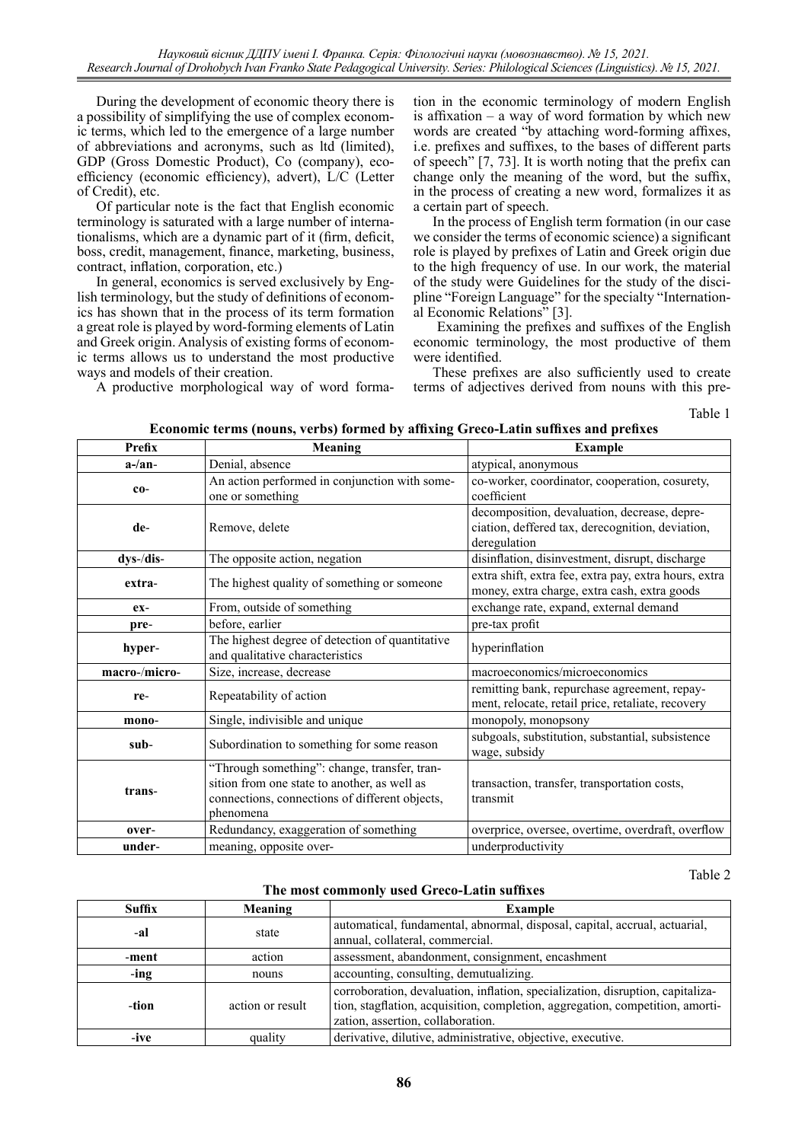During the development of economic theory there is a possibility of simplifying the use of complex economic terms, which led to the emergence of a large number of abbreviations and acronyms, such as ltd (limited), GDP (Gross Domestic Product), Co (company), ecoefficiency (economic efficiency), advert), L/C (Letter of Credit), etc.

Of particular note is the fact that English economic terminology is saturated with a large number of internationalisms, which are a dynamic part of it (firm, deficit, boss, credit, management, finance, marketing, business, contract, inflation, corporation, etc.)

In general, economics is served exclusively by English terminology, but the study of definitions of economics has shown that in the process of its term formation a great role is played by word-forming elements of Latin and Greek origin. Analysis of existing forms of economic terms allows us to understand the most productive ways and models of their creation.

A productive morphological way of word forma-

tion in the economic terminology of modern English is affixation – a way of word formation by which new words are created "by attaching word-forming affixes, i.e. prefixes and suffixes, to the bases of different parts of speech" [7, 73]. It is worth noting that the prefix can change only the meaning of the word, but the suffix, in the process of creating a new word, formalizes it as a certain part of speech.

In the process of English term formation (in our case we consider the terms of economic science) a significant role is played by prefixes of Latin and Greek origin due to the high frequency of use. In our work, the material of the study were Guidelines for the study of the discipline "Foreign Language" for the specialty "International Economic Relations" [3].

 Examining the prefixes and suffixes of the English economic terminology, the most productive of them were identified.

These prefixes are also sufficiently used to create terms of adjectives derived from nouns with this pre-

Table 1

| Economic terms (nouns, verbs) formed by affixing Greco-Latin suffixes and prefixes |  |  |
|------------------------------------------------------------------------------------|--|--|
|                                                                                    |  |  |

| Prefix        | <b>Meaning</b>                                                                                                                                              | <b>Example</b>                                                                                                   |
|---------------|-------------------------------------------------------------------------------------------------------------------------------------------------------------|------------------------------------------------------------------------------------------------------------------|
| $a$ -/an-     | Denial, absence                                                                                                                                             | atypical, anonymous                                                                                              |
| $co-$         | An action performed in conjunction with some-<br>one or something                                                                                           | co-worker, coordinator, cooperation, cosurety,<br>coefficient                                                    |
| de-           | Remove, delete                                                                                                                                              | decomposition, devaluation, decrease, depre-<br>ciation, deffered tax, derecognition, deviation,<br>deregulation |
| dys-/dis-     | The opposite action, negation                                                                                                                               | disinflation, disinvestment, disrupt, discharge                                                                  |
| extra-        | The highest quality of something or someone                                                                                                                 | extra shift, extra fee, extra pay, extra hours, extra<br>money, extra charge, extra cash, extra goods            |
| $ex-$         | From, outside of something                                                                                                                                  | exchange rate, expand, external demand                                                                           |
| pre-          | before, earlier                                                                                                                                             | pre-tax profit                                                                                                   |
| hyper-        | The highest degree of detection of quantitative<br>and qualitative characteristics                                                                          | hyperinflation                                                                                                   |
| macro-/micro- | Size, increase, decrease                                                                                                                                    | macroeconomics/microeconomics                                                                                    |
| re-           | Repeatability of action                                                                                                                                     | remitting bank, repurchase agreement, repay-<br>ment, relocate, retail price, retaliate, recovery                |
| mono-         | Single, indivisible and unique                                                                                                                              | monopoly, monopsony                                                                                              |
| sub-          | Subordination to something for some reason                                                                                                                  | subgoals, substitution, substantial, subsistence<br>wage, subsidy                                                |
| trans-        | "Through something": change, transfer, tran-<br>sition from one state to another, as well as<br>connections, connections of different objects,<br>phenomena | transaction, transfer, transportation costs,<br>transmit                                                         |
| over-         | Redundancy, exaggeration of something                                                                                                                       | overprice, oversee, overtime, overdraft, overflow                                                                |
| under-        | meaning, opposite over-                                                                                                                                     | underproductivity                                                                                                |

Table 2

**The most commonly used Greco-Latin suffixes**

| Suffix | <b>Meaning</b>   | <b>Example</b>                                                                                                                                                                                       |  |
|--------|------------------|------------------------------------------------------------------------------------------------------------------------------------------------------------------------------------------------------|--|
| -al    | state            | automatical, fundamental, abnormal, disposal, capital, accrual, actuarial,<br>annual, collateral, commercial.                                                                                        |  |
| -ment  | action           | assessment, abandonment, consignment, encashment                                                                                                                                                     |  |
| -ing   | nouns            | accounting, consulting, demutualizing.                                                                                                                                                               |  |
| -tion  | action or result | corroboration, devaluation, inflation, specialization, disruption, capitaliza-<br>tion, stagflation, acquisition, completion, aggregation, competition, amorti-<br>zation, assertion, collaboration. |  |
| -ive   | quality          | derivative, dilutive, administrative, objective, executive.                                                                                                                                          |  |